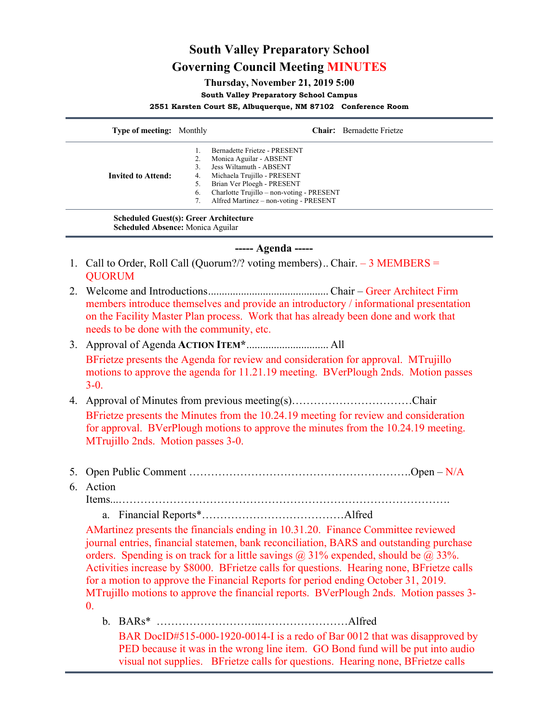## **South Valley Preparatory School Governing Council Meeting MINUTES**

**Thursday, November 21, 2019 5:00**

**South Valley Preparatory School Campus**

**2551 Karsten Court SE, Albuquerque, NM 87102 Conference Room**

| <b>Type of meeting:</b> Monthly               |    | <b>Chair:</b> Bernadette Frietze          |
|-----------------------------------------------|----|-------------------------------------------|
|                                               |    | Bernadette Frietze - PRESENT              |
|                                               |    | Monica Aguilar - ABSENT                   |
|                                               |    | Jess Wiltamuth - ABSENT                   |
| <b>Invited to Attend:</b>                     | 4. | Michaela Trujillo - PRESENT               |
|                                               |    | Brian Ver Ploegh - PRESENT                |
|                                               | 6. | Charlotte Trujillo - non-voting - PRESENT |
|                                               |    | Alfred Martinez - non-voting - PRESENT    |
| <b>Scheduled Guest(s): Greer Architecture</b> |    |                                           |

**Scheduled Absence:** Monica Aguilar

**----- Agenda -----**

- 1. Call to Order, Roll Call (Quorum?/? voting members).. Chair. 3 MEMBERS = **OUORUM**
- 2. Welcome and Introductions............................................ Chair Greer Architect Firm members introduce themselves and provide an introductory / informational presentation on the Facility Master Plan process. Work that has already been done and work that needs to be done with the community, etc.
- 3. Approval of Agenda **ACTION ITEM\***.............................. All BFrietze presents the Agenda for review and consideration for approval. MTrujillo motions to approve the agenda for 11.21.19 meeting. BVerPlough 2nds. Motion passes  $3-0.$
- 4. Approval of Minutes from previous meeting(s)……………………………Chair BFrietze presents the Minutes from the 10.24.19 meeting for review and consideration for approval. BVerPlough motions to approve the minutes from the 10.24.19 meeting. MTrujillo 2nds. Motion passes 3-0.
- 5. Open Public Comment …………………………………………………….Open N/A
- 6. Action

Items...……………………………………………………………………………….

a. Financial Reports\*…………………………………Alfred

AMartinez presents the financials ending in 10.31.20. Finance Committee reviewed journal entries, financial statemen, bank reconciliation, BARS and outstanding purchase orders. Spending is on track for a little savings  $\omega$  31% expended, should be  $\omega$  33%. Activities increase by \$8000. BFrietze calls for questions. Hearing none, BFrietze calls for a motion to approve the Financial Reports for period ending October 31, 2019. MTrujillo motions to approve the financial reports. BVerPlough 2nds. Motion passes 3-  $\mathbf{0}$ .

b. BARs\* ………………………..……………………Alfred

BAR DocID#515-000-1920-0014-I is a redo of Bar 0012 that was disapproved by PED because it was in the wrong line item. GO Bond fund will be put into audio visual not supplies. BFrietze calls for questions. Hearing none, BFrietze calls